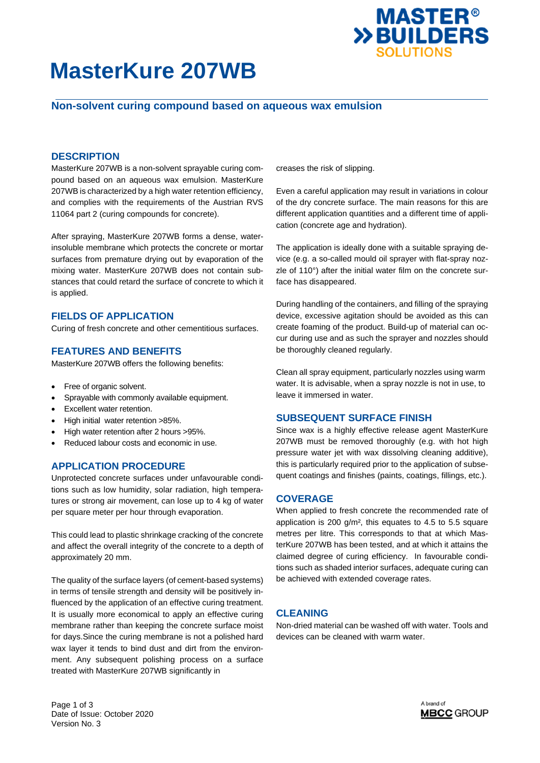

# **MasterKure 207WB**

## **Non-solvent curing compound based on aqueous wax emulsion**

### **DESCRIPTION**

MasterKure 207WB is a non-solvent sprayable curing compound based on an aqueous wax emulsion. MasterKure 207WB is characterized by a high water retention efficiency, and complies with the requirements of the Austrian RVS 11064 part 2 (curing compounds for concrete).

After spraying, MasterKure 207WB forms a dense, waterinsoluble membrane which protects the concrete or mortar surfaces from premature drying out by evaporation of the mixing water. MasterKure 207WB does not contain substances that could retard the surface of concrete to which it is applied.

### **FIELDS OF APPLICATION**

Curing of fresh concrete and other cementitious surfaces.

### **FEATURES AND BENEFITS**

MasterKure 207WB offers the following benefits:

- Free of organic solvent.
- Sprayable with commonly available equipment.
- Excellent water retention.
- High initial water retention >85%.
- High water retention after 2 hours >95%.
- Reduced labour costs and economic in use.

### **APPLICATION PROCEDURE**

Unprotected concrete surfaces under unfavourable conditions such as low humidity, solar radiation, high temperatures or strong air movement, can lose up to 4 kg of water per square meter per hour through evaporation.

This could lead to plastic shrinkage cracking of the concrete and affect the overall integrity of the concrete to a depth of approximately 20 mm.

The quality of the surface layers (of cement-based systems) in terms of tensile strength and density will be positively influenced by the application of an effective curing treatment. It is usually more economical to apply an effective curing membrane rather than keeping the concrete surface moist for days.Since the curing membrane is not a polished hard wax layer it tends to bind dust and dirt from the environment. Any subsequent polishing process on a surface treated with MasterKure 207WB significantly in

creases the risk of slipping.

Even a careful application may result in variations in colour of the dry concrete surface. The main reasons for this are different application quantities and a different time of application (concrete age and hydration).

The application is ideally done with a suitable spraying device (e.g. a so-called mould oil sprayer with flat-spray nozzle of 110°) after the initial water film on the concrete surface has disappeared.

During handling of the containers, and filling of the spraying device, excessive agitation should be avoided as this can create foaming of the product. Build-up of material can occur during use and as such the sprayer and nozzles should be thoroughly cleaned regularly.

Clean all spray equipment, particularly nozzles using warm water. It is advisable, when a spray nozzle is not in use, to leave it immersed in water.

### **SUBSEQUENT SURFACE FINISH**

Since wax is a highly effective release agent MasterKure 207WB must be removed thoroughly (e.g. with hot high pressure water jet with wax dissolving cleaning additive), this is particularly required prior to the application of subsequent coatings and finishes (paints, coatings, fillings, etc.).

### **COVERAGE**

When applied to fresh concrete the recommended rate of application is 200 g/m², this equates to 4.5 to 5.5 square metres per litre. This corresponds to that at which MasterKure 207WB has been tested, and at which it attains the claimed degree of curing efficiency. In favourable conditions such as shaded interior surfaces, adequate curing can be achieved with extended coverage rates.

### **CLEANING**

Non-dried material can be washed off with water. Tools and devices can be cleaned with warm water.

Page 1 of 3 Date of Issue: October 2020 Version No. 3

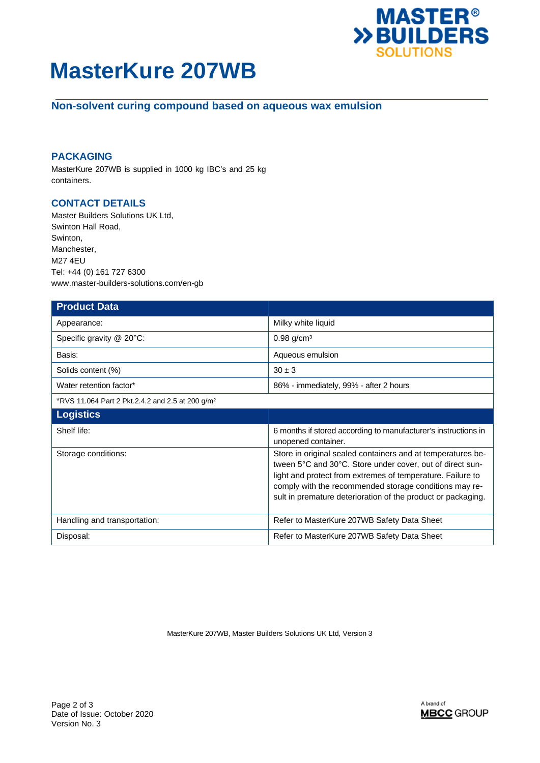

# **MasterKure 207WB**

# **Non-solvent curing compound based on aqueous wax emulsion**

## **PACKAGING**

MasterKure 207WB is supplied in 1000 kg IBC's and 25 kg containers.

## **CONTACT DETAILS**

Master Builders Solutions UK Ltd, Swinton Hall Road, Swinton, Manchester, M27 4EU Tel: +44 (0) 161 727 6300 www.master-builders-solutions.com/en-gb

| <b>Product Data</b>                                          |                                                                                                                                                                                                                                                                                                                  |
|--------------------------------------------------------------|------------------------------------------------------------------------------------------------------------------------------------------------------------------------------------------------------------------------------------------------------------------------------------------------------------------|
| Appearance:                                                  | Milky white liquid                                                                                                                                                                                                                                                                                               |
| Specific gravity @ 20°C:                                     | $0.98$ g/cm <sup>3</sup>                                                                                                                                                                                                                                                                                         |
| Basis:                                                       | Aqueous emulsion                                                                                                                                                                                                                                                                                                 |
| Solids content (%)                                           | $30 \pm 3$                                                                                                                                                                                                                                                                                                       |
| Water retention factor*                                      | 86% - immediately, 99% - after 2 hours                                                                                                                                                                                                                                                                           |
| *RVS 11.064 Part 2 Pkt.2.4.2 and 2.5 at 200 g/m <sup>2</sup> |                                                                                                                                                                                                                                                                                                                  |
| <b>Logistics</b>                                             |                                                                                                                                                                                                                                                                                                                  |
| Shelf life:                                                  | 6 months if stored according to manufacturer's instructions in<br>unopened container.                                                                                                                                                                                                                            |
| Storage conditions:                                          | Store in original sealed containers and at temperatures be-<br>tween 5°C and 30°C. Store under cover, out of direct sun-<br>light and protect from extremes of temperature. Failure to<br>comply with the recommended storage conditions may re-<br>sult in premature deterioration of the product or packaging. |
| Handling and transportation:                                 | Refer to MasterKure 207WB Safety Data Sheet                                                                                                                                                                                                                                                                      |
| Disposal:                                                    | Refer to MasterKure 207WB Safety Data Sheet                                                                                                                                                                                                                                                                      |

MasterKure 207WB, Master Builders Solutions UK Ltd, Version 3